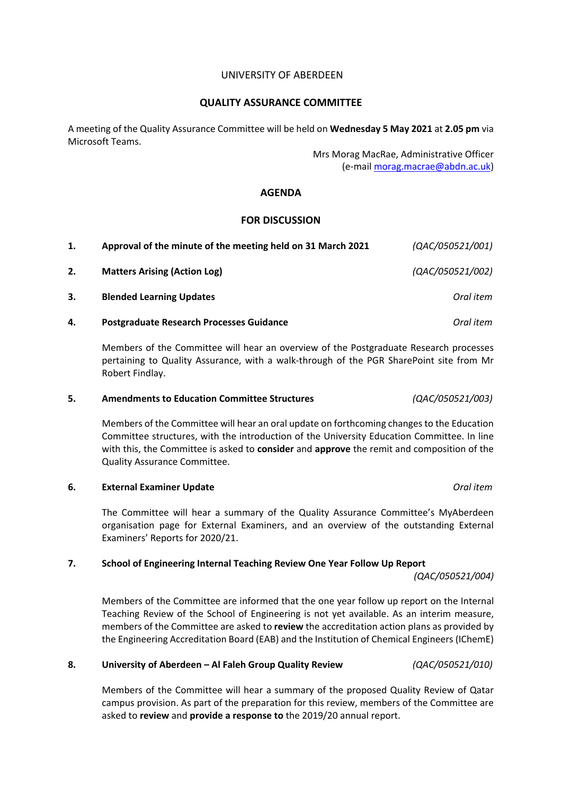## UNIVERSITY OF ABERDEEN

### **QUALITY ASSURANCE COMMITTEE**

A meeting of the Quality Assurance Committee will be held on **Wednesday 5 May 2021** at **2.05 pm** via Microsoft Teams.

> Mrs Morag MacRae, Administrative Officer (e-mail [morag.macrae@abdn.ac.uk\)](mailto:morag.macrae@abdn.ac.uk)

## **AGENDA**

### **FOR DISCUSSION**

| 1. | Approval of the minute of the meeting held on 31 March 2021 | (QAC/050521/001) |
|----|-------------------------------------------------------------|------------------|
| 2. | <b>Matters Arising (Action Log)</b>                         | (QAC/050521/002) |
| 3. | <b>Blended Learning Updates</b>                             | Oral item        |
| 4. | <b>Postgraduate Research Processes Guidance</b>             | Oral item        |

Members of the Committee will hear an overview of the Postgraduate Research processes pertaining to Quality Assurance, with a walk-through of the PGR SharePoint site from Mr Robert Findlay.

#### **5. Amendments to Education Committee Structures** *(QAC/050521/003)*

Members of the Committee will hear an oral update on forthcoming changes to the Education Committee structures, with the introduction of the University Education Committee. In line with this, the Committee is asked to **consider** and **approve** the remit and composition of the Quality Assurance Committee.

#### **6. External Examiner Update** *Oral item*

The Committee will hear a summary of the Quality Assurance Committee's MyAberdeen organisation page for External Examiners, and an overview of the outstanding External Examiners' Reports for 2020/21.

#### **7. School of Engineering Internal Teaching Review One Year Follow Up Report**

*(QAC/050521/004)*

Members of the Committee are informed that the one year follow up report on the Internal Teaching Review of the School of Engineering is not yet available. As an interim measure, members of the Committee are asked to **review** the accreditation action plans as provided by the Engineering Accreditation Board (EAB) and the Institution of Chemical Engineers (IChemE)

#### **8. University of Aberdeen – Al Faleh Group Quality Review** *(QAC/050521/010)*

Members of the Committee will hear a summary of the proposed Quality Review of Qatar campus provision. As part of the preparation for this review, members of the Committee are asked to **review** and **provide a response to** the 2019/20 annual report.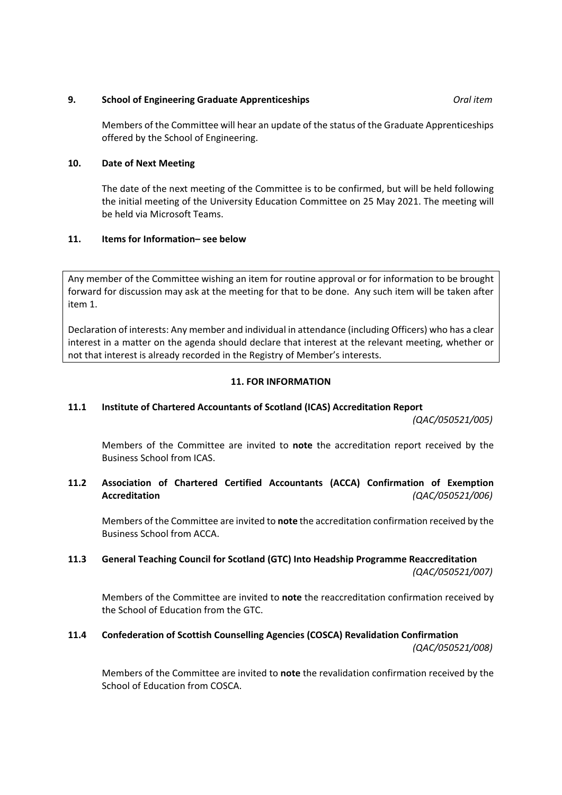# **9. School of Engineering Graduate Apprenticeships** *Oral item*

Members of the Committee will hear an update of the status of the Graduate Apprenticeships offered by the School of Engineering.

# **10. Date of Next Meeting**

The date of the next meeting of the Committee is to be confirmed, but will be held following the initial meeting of the University Education Committee on 25 May 2021. The meeting will be held via Microsoft Teams.

# **11. Items for Information– see below**

Any member of the Committee wishing an item for routine approval or for information to be brought forward for discussion may ask at the meeting for that to be done. Any such item will be taken after item 1.

Declaration of interests: Any member and individual in attendance (including Officers) who has a clear interest in a matter on the agenda should declare that interest at the relevant meeting, whether or not that interest is already recorded in the Registry of Member's interests.

# **11. FOR INFORMATION**

# **11.1 Institute of Chartered Accountants of Scotland (ICAS) Accreditation Report**

*(QAC/050521/005)*

Members of the Committee are invited to **note** the accreditation report received by the Business School from ICAS.

# **11.2 Association of Chartered Certified Accountants (ACCA) Confirmation of Exemption Accreditation** *(QAC/050521/006)*

Members of the Committee are invited to **note** the accreditation confirmation received by the Business School from ACCA.

# **11.3 General Teaching Council for Scotland (GTC) Into Headship Programme Reaccreditation** *(QAC/050521/007)*

Members of the Committee are invited to **note** the reaccreditation confirmation received by the School of Education from the GTC.

# **11.4 Confederation of Scottish Counselling Agencies (COSCA) Revalidation Confirmation**

*(QAC/050521/008)*

Members of the Committee are invited to **note** the revalidation confirmation received by the School of Education from COSCA.